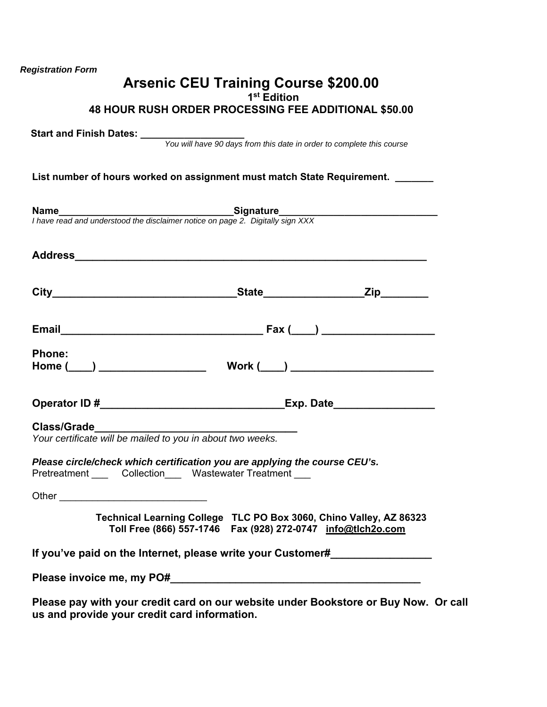|               | 48 HOUR RUSH ORDER PROCESSING FEE ADDITIONAL \$50.00                                                                                |  |
|---------------|-------------------------------------------------------------------------------------------------------------------------------------|--|
|               |                                                                                                                                     |  |
|               |                                                                                                                                     |  |
|               | List number of hours worked on assignment must match State Requirement. ______                                                      |  |
|               |                                                                                                                                     |  |
|               | <b>Name</b><br>I have read and understood the disclaimer notice on page 2. Digitally sign XXX                                       |  |
|               |                                                                                                                                     |  |
|               |                                                                                                                                     |  |
|               |                                                                                                                                     |  |
|               |                                                                                                                                     |  |
|               |                                                                                                                                     |  |
| <b>Phone:</b> |                                                                                                                                     |  |
|               |                                                                                                                                     |  |
|               |                                                                                                                                     |  |
|               |                                                                                                                                     |  |
|               |                                                                                                                                     |  |
|               |                                                                                                                                     |  |
|               | Please circle/check which certification you are applying the course CEU's.<br>Pretreatment Collection Wastewater Treatment          |  |
|               |                                                                                                                                     |  |
|               |                                                                                                                                     |  |
|               | Technical Learning College TLC PO Box 3060, Chino Valley, AZ 86323<br>Toll Free (866) 557-1746  Fax (928) 272-0747  info@tlch2o.com |  |
|               | If you've paid on the Internet, please write your Customer#                                                                         |  |
|               |                                                                                                                                     |  |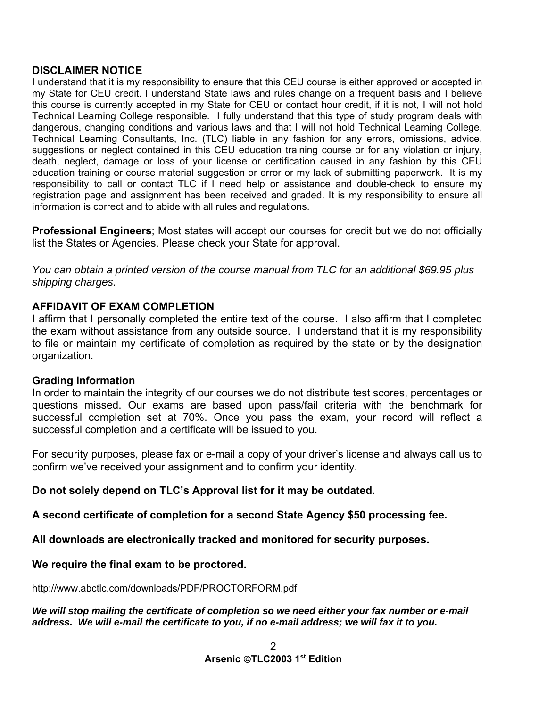# **DISCLAIMER NOTICE**

I understand that it is my responsibility to ensure that this CEU course is either approved or accepted in my State for CEU credit. I understand State laws and rules change on a frequent basis and I believe this course is currently accepted in my State for CEU or contact hour credit, if it is not, I will not hold Technical Learning College responsible. I fully understand that this type of study program deals with dangerous, changing conditions and various laws and that I will not hold Technical Learning College, Technical Learning Consultants, Inc. (TLC) liable in any fashion for any errors, omissions, advice, suggestions or neglect contained in this CEU education training course or for any violation or injury, death, neglect, damage or loss of your license or certification caused in any fashion by this CEU education training or course material suggestion or error or my lack of submitting paperwork. It is my responsibility to call or contact TLC if I need help or assistance and double-check to ensure my registration page and assignment has been received and graded. It is my responsibility to ensure all information is correct and to abide with all rules and regulations.

**Professional Engineers**; Most states will accept our courses for credit but we do not officially list the States or Agencies. Please check your State for approval.

*You can obtain a printed version of the course manual from TLC for an additional \$69.95 plus shipping charges.* 

# **AFFIDAVIT OF EXAM COMPLETION**

I affirm that I personally completed the entire text of the course. I also affirm that I completed the exam without assistance from any outside source. I understand that it is my responsibility to file or maintain my certificate of completion as required by the state or by the designation organization.

# **Grading Information**

In order to maintain the integrity of our courses we do not distribute test scores, percentages or questions missed. Our exams are based upon pass/fail criteria with the benchmark for successful completion set at 70%. Once you pass the exam, your record will reflect a successful completion and a certificate will be issued to you.

For security purposes, please fax or e-mail a copy of your driver's license and always call us to confirm we've received your assignment and to confirm your identity.

# **Do not solely depend on TLC's Approval list for it may be outdated.**

**A second certificate of completion for a second State Agency \$50 processing fee.** 

**All downloads are electronically tracked and monitored for security purposes.** 

# **We require the final exam to be proctored.**

http://www.abctlc.com/downloads/PDF/PROCTORFORM.pdf

## *We will stop mailing the certificate of completion so we need either your fax number or e-mail address. We will e-mail the certificate to you, if no e-mail address; we will fax it to you.*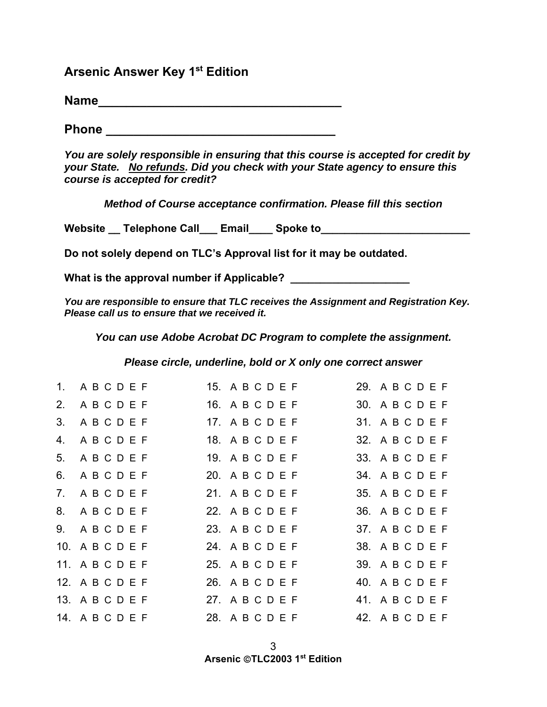# **Arsenic Answer Key 1st Edition**

**Name\_\_\_\_\_\_\_\_\_\_\_\_\_\_\_\_\_\_\_\_\_\_\_\_\_\_\_\_\_\_\_\_\_\_\_** 

**Phone** *Phone* 

*You are solely responsible in ensuring that this course is accepted for credit by your State. No refunds. Did you check with your State agency to ensure this course is accepted for credit?* 

*Method of Course acceptance confirmation. Please fill this section* 

Website Telephone Call Email Spoke to

**Do not solely depend on TLC's Approval list for it may be outdated.** 

**What is the approval number if Applicable? \_\_\_\_\_\_\_\_\_\_\_\_\_\_\_\_\_\_\_\_** 

*You are responsible to ensure that TLC receives the Assignment and Registration Key. Please call us to ensure that we received it.* 

*You can use Adobe Acrobat DC Program to complete the assignment.* 

*Please circle, underline, bold or X only one correct answer* 

|    |                 | 1. ABCDEF 15. ABCDEF            | 29. A B C D E F |
|----|-----------------|---------------------------------|-----------------|
|    | 2. ABCDEF       | 16. A B C D E F                 | 30. ABCDEF      |
| 3. | ABCDEF          | 17. A B C D E F                 | 31. A B C D E F |
|    | 4. ABCDEF       | 18. A B C D E F                 | 32. A B C D E F |
|    | 5. ABCDEF       | 19. A B C D E F                 | 33. A B C D E F |
|    | 6. ABCDEF       | 20. A B C D E F                 | 34. A B C D E F |
|    | 7. ABCDEF       | 21. A B C D E F                 | 35. A B C D E F |
|    | 8. ABCDEF       | 22. A B C D E F                 | 36. ABCDEF      |
|    | 9. ABCDEF       | 23. A B C D E F                 | 37. A B C D E F |
|    | 10. ABCDEF      | 24. A B C D E F                 | 38. A B C D E F |
|    | 11. ABCDEF      | 25. A B C D E F                 | 39. A B C D E F |
|    | 12. A B C D E F | 26. A B C D E F                 | 40. A B C D E F |
|    | 13. A B C D E F | 27. A B C D E F                 | 41. A B C D E F |
|    | 14. ABCDEF      | 28. A B C D E F 42. A B C D E F |                 |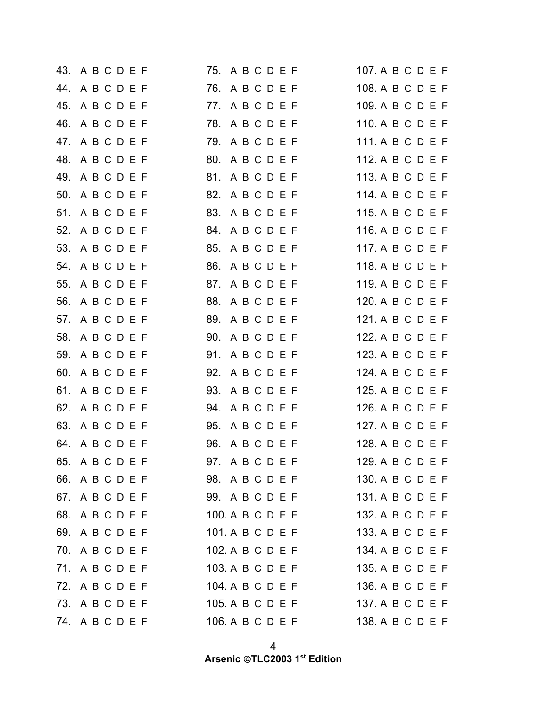|     | 43. A B C D E F | 75. A B C D E F  | 107. A B C D E F |
|-----|-----------------|------------------|------------------|
|     | 44. ABCDEF      | 76. A B C D E F  | 108. A B C D E F |
|     | 45. A B C D E F | 77. ABCDEF       | 109. A B C D E F |
|     | 46. ABCDEF      | 78. A B C D E F  | 110. A B C D E F |
| 47. | ABCDEF          | 79. A B C D E F  | 111. A B C D E F |
|     | 48. A B C D E F | 80. A B C D E F  | 112. A B C D E F |
|     | 49. A B C D E F | 81. ABCDEF       | 113. A B C D E F |
|     | 50. ABCDEF      | 82. A B C D E F  | 114. A B C D E F |
|     | 51. ABCDEF      | 83. ABCDEF       | 115. A B C D E F |
|     | 52. A B C D E F | 84. A B C D E F  | 116. A B C D E F |
|     | 53. A B C D E F | 85. A B C D E F  | 117. A B C D E F |
|     | 54. A B C D E F | 86. ABCDEF       | 118. A B C D E F |
|     | 55. A B C D E F | 87. ABCDEF       | 119. A B C D E F |
|     | 56. A B C D E F | 88. ABCDEF       | 120. A B C D E F |
|     | 57. ABCDEF      | 89. ABCDEF       | 121. A B C D E F |
|     | 58. A B C D E F | 90. ABCDEF       | 122. A B C D E F |
|     | 59. A B C D E F | 91. ABCDEF       | 123. A B C D E F |
|     | 60. ABCDEF      | 92. A B C D E F  | 124. A B C D E F |
|     | 61. A B C D E F | 93. A B C D E F  | 125. A B C D E F |
|     | 62. A B C D E F | 94. ABCDEF       | 126. A B C D E F |
|     | 63. A B C D E F | 95. A B C D E F  | 127. A B C D E F |
|     | 64. A B C D E F | 96. A B C D E F  | 128. A B C D E F |
|     | 65. A B C D E F | 97. ABCDEF       | 129. A B C D E F |
|     | 66. ABCDEF      | 98. A B C D E F  | 130. A B C D E F |
|     | 67. A B C D E F | 99. A B C D E F  | 131. A B C D E F |
|     | 68. ABCDEF      | 100. A B C D E F | 132. A B C D E F |
|     | 69. ABCDEF      | 101. A B C D E F | 133. A B C D E F |
|     | 70. A B C D E F | 102. A B C D E F | 134. A B C D E F |
|     | 71. ABCDEF      | 103. A B C D E F | 135. A B C D E F |
|     | 72. ABCDEF      | 104. A B C D E F | 136. A B C D E F |
|     | 73. ABCDEF      | 105. A B C D E F | 137. A B C D E F |
|     | 74. A B C D E F | 106. A B C D E F | 138. A B C D E F |

4 **Arsenic TLC2003 1st Edition**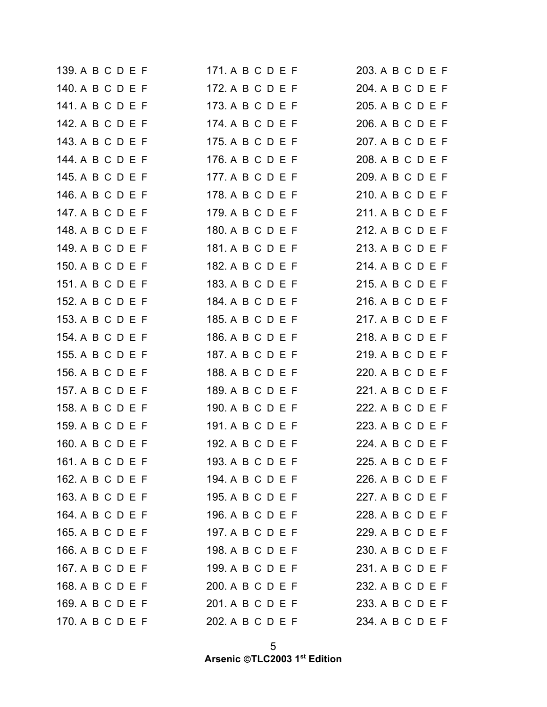| 139. A B C D E F | 171. A B C D E F | 203. A B C D E F |
|------------------|------------------|------------------|
| 140. A B C D E F | 172. A B C D E F | 204. A B C D E F |
| 141. A B C D E F | 173. A B C D E F | 205. A B C D E F |
| 142. A B C D E F | 174. A B C D E F | 206. A B C D E F |
| 143. A B C D E F | 175. A B C D E F | 207. A B C D E F |
| 144. A B C D E F | 176. A B C D E F | 208. A B C D E F |
| 145. A B C D E F | 177. A B C D E F | 209. A B C D E F |
| 146. A B C D E F | 178. A B C D E F | 210. A B C D E F |
| 147. A B C D E F | 179. A B C D E F | 211. A B C D E F |
| 148. A B C D E F | 180. A B C D E F | 212. A B C D E F |
| 149. A B C D E F | 181. A B C D E F | 213. A B C D E F |
| 150. A B C D E F | 182. A B C D E F | 214. A B C D E F |
| 151. A B C D E F | 183. A B C D E F | 215. A B C D E F |
| 152. A B C D E F | 184. A B C D E F | 216. A B C D E F |
| 153. A B C D E F | 185. A B C D E F | 217. A B C D E F |
| 154. A B C D E F | 186. A B C D E F | 218. A B C D E F |
| 155. A B C D E F | 187. A B C D E F | 219. A B C D E F |
| 156. A B C D E F | 188. A B C D E F | 220. A B C D E F |
| 157. A B C D E F | 189. A B C D E F | 221. A B C D E F |
| 158. A B C D E F | 190. A B C D E F | 222. A B C D E F |
| 159. A B C D E F | 191. A B C D E F | 223. A B C D E F |
| 160. A B C D E F | 192. A B C D E F | 224. A B C D E F |
| 161. A B C D E F | 193. A B C D E F | 225. A B C D E F |
| 162. A B C D E F | 194. A B C D E F | 226. A B C D E F |
| 163. A B C D E F | 195. A B C D E F | 227. A B C D E F |
| 164. A B C D E F | 196. A B C D E F | 228. A B C D E F |
| 165. A B C D E F | 197. A B C D E F | 229. A B C D E F |
| 166. A B C D E F | 198. A B C D E F | 230. A B C D E F |
| 167. A B C D E F | 199. A B C D E F | 231. A B C D E F |
| 168. A B C D E F | 200. A B C D E F | 232. A B C D E F |
| 169. A B C D E F | 201. A B C D E F | 233. A B C D E F |
| 170. A B C D E F | 202. A B C D E F | 234. A B C D E F |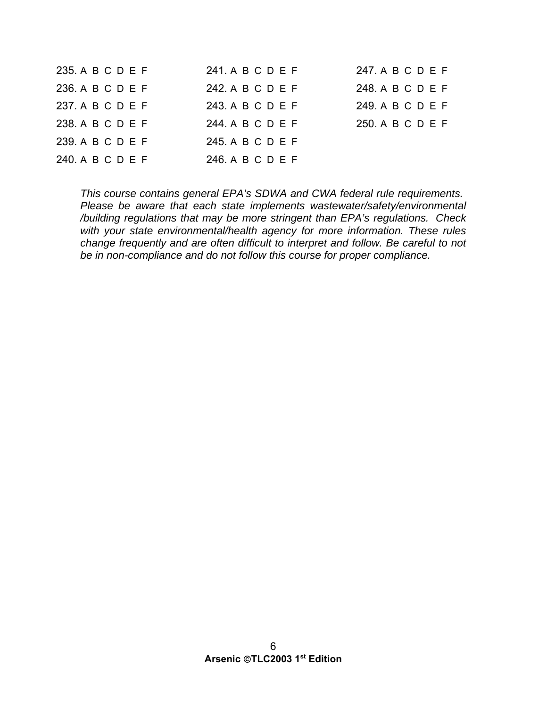| 235. A B C D E F | 241. A B C D E F | 247. A B C D E F |
|------------------|------------------|------------------|
| 236. A B C D E F | 242. A B C D E F | 248. A B C D E F |
| 237. A B C D E F | 243. A B C D E F | 249. A B C D E F |
| 238. A B C D E F | 244. A B C D E F | 250. A B C D E F |
| 239. A B C D E F | 245. A B C D E F |                  |
| 240. A B C D E F | 246. A B C D E F |                  |

*This course contains general EPA's SDWA and CWA federal rule requirements. Please be aware that each state implements wastewater/safety/environmental /building regulations that may be more stringent than EPA's regulations. Check with your state environmental/health agency for more information. These rules change frequently and are often difficult to interpret and follow. Be careful to not be in non-compliance and do not follow this course for proper compliance.*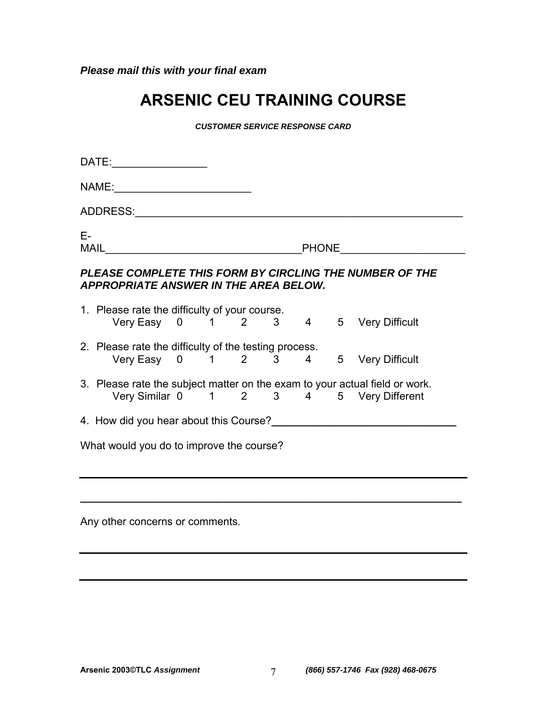*Please mail this with your final exam* 

# **ARSENIC CEU TRAINING COURSE**

*CUSTOMER SERVICE RESPONSE CARD* 

|                                                                                                         | DATE:____________________                                                                     |  |  |  |  |  |                                                                                                                                                                 |
|---------------------------------------------------------------------------------------------------------|-----------------------------------------------------------------------------------------------|--|--|--|--|--|-----------------------------------------------------------------------------------------------------------------------------------------------------------------|
|                                                                                                         |                                                                                               |  |  |  |  |  |                                                                                                                                                                 |
|                                                                                                         |                                                                                               |  |  |  |  |  |                                                                                                                                                                 |
| Е-                                                                                                      |                                                                                               |  |  |  |  |  |                                                                                                                                                                 |
| PLEASE COMPLETE THIS FORM BY CIRCLING THE NUMBER OF THE<br><b>APPROPRIATE ANSWER IN THE AREA BELOW.</b> |                                                                                               |  |  |  |  |  |                                                                                                                                                                 |
|                                                                                                         | 1. Please rate the difficulty of your course.<br>Very Easy 0 1 2 3 4 5 Very Difficult         |  |  |  |  |  |                                                                                                                                                                 |
|                                                                                                         | 2. Please rate the difficulty of the testing process.<br>Very Easy 0 1 2 3 4 5 Very Difficult |  |  |  |  |  |                                                                                                                                                                 |
|                                                                                                         | 3. Please rate the subject matter on the exam to your actual field or work.                   |  |  |  |  |  | Very Similar 0 1 2 3 4 5 Very Different                                                                                                                         |
|                                                                                                         |                                                                                               |  |  |  |  |  | 4. How did you hear about this Course?<br><u>Letter and the contract of the substance of the substance of the substance of the substance of the substance o</u> |
| What would you do to improve the course?                                                                |                                                                                               |  |  |  |  |  |                                                                                                                                                                 |
|                                                                                                         |                                                                                               |  |  |  |  |  |                                                                                                                                                                 |
| Any other concerns or comments.                                                                         |                                                                                               |  |  |  |  |  |                                                                                                                                                                 |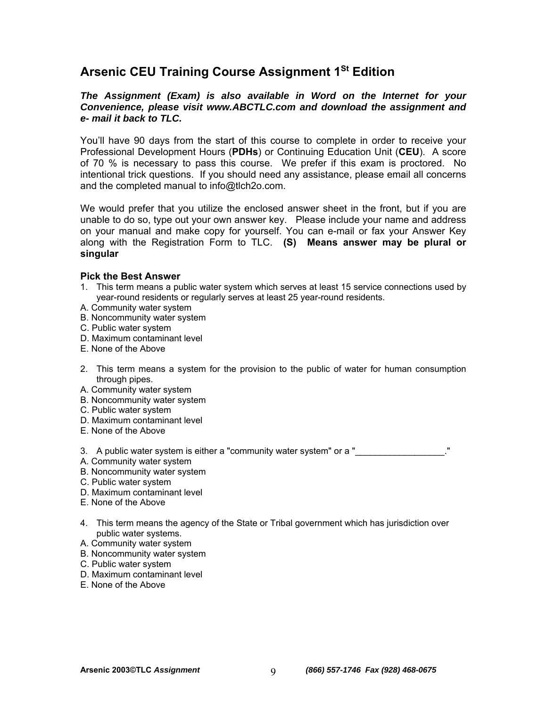# Arsenic CEU Training Course Assignment 1<sup>St</sup> Edition

## *The Assignment (Exam) is also available in Word on the Internet for your Convenience, please visit www.ABCTLC.com and download the assignment and e- mail it back to TLC.*

You'll have 90 days from the start of this course to complete in order to receive your Professional Development Hours (**PDHs**) or Continuing Education Unit (**CEU**). A score of 70 % is necessary to pass this course. We prefer if this exam is proctored. No intentional trick questions. If you should need any assistance, please email all concerns and the completed manual to info@tlch2o.com.

We would prefer that you utilize the enclosed answer sheet in the front, but if you are unable to do so, type out your own answer key. Please include your name and address on your manual and make copy for yourself. You can e-mail or fax your Answer Key along with the Registration Form to TLC. **(S) Means answer may be plural or singular**

#### **Pick the Best Answer**

- 1. This term means a public water system which serves at least 15 service connections used by year-round residents or regularly serves at least 25 year-round residents.
- A. Community water system
- B. Noncommunity water system
- C. Public water system
- D. Maximum contaminant level
- E. None of the Above
- 2. This term means a system for the provision to the public of water for human consumption through pipes.
- A. Community water system
- B. Noncommunity water system
- C. Public water system
- D. Maximum contaminant level
- E. None of the Above

3. A public water system is either a "community water system" or a "\_\_\_\_\_\_\_\_\_\_\_\_

- A. Community water system
- B. Noncommunity water system
- C. Public water system
- D. Maximum contaminant level
- E. None of the Above
- 4. This term means the agency of the State or Tribal government which has jurisdiction over public water systems.
- A. Community water system
- B. Noncommunity water system
- C. Public water system
- D. Maximum contaminant level
- E. None of the Above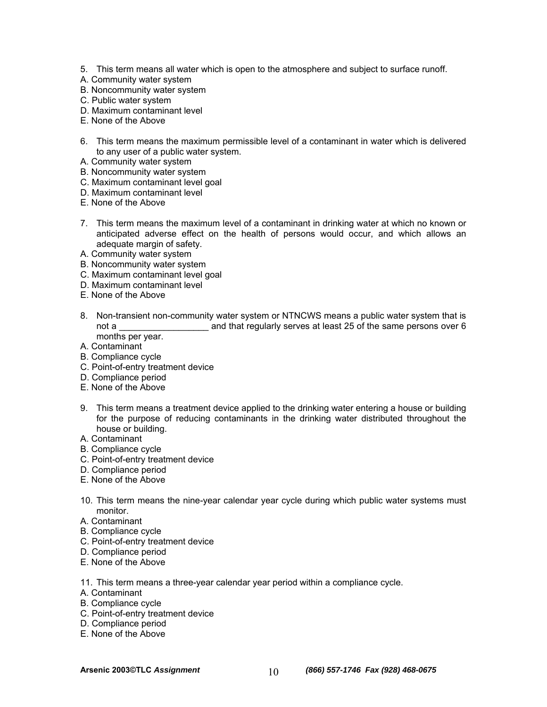- 5. This term means all water which is open to the atmosphere and subject to surface runoff.
- A. Community water system
- B. Noncommunity water system
- C. Public water system
- D. Maximum contaminant level
- E. None of the Above
- 6. This term means the maximum permissible level of a contaminant in water which is delivered to any user of a public water system.
- A. Community water system
- B. Noncommunity water system
- C. Maximum contaminant level goal
- D. Maximum contaminant level
- E. None of the Above
- 7. This term means the maximum level of a contaminant in drinking water at which no known or anticipated adverse effect on the health of persons would occur, and which allows an adequate margin of safety.
- A. Community water system
- B. Noncommunity water system
- C. Maximum contaminant level goal
- D. Maximum contaminant level
- E. None of the Above
- 8. Non-transient non-community water system or NTNCWS means a public water system that is not a calcular and that regularly serves at least 25 of the same persons over 6 months per year.
- A. Contaminant
- B. Compliance cycle
- C. Point-of-entry treatment device
- D. Compliance period
- E. None of the Above
- 9. This term means a treatment device applied to the drinking water entering a house or building for the purpose of reducing contaminants in the drinking water distributed throughout the house or building.
- A. Contaminant
- B. Compliance cycle
- C. Point-of-entry treatment device
- D. Compliance period
- E. None of the Above
- 10. This term means the nine-year calendar year cycle during which public water systems must monitor.
- A. Contaminant
- B. Compliance cycle
- C. Point-of-entry treatment device
- D. Compliance period
- E. None of the Above
- 11. This term means a three-year calendar year period within a compliance cycle.
- A. Contaminant
- B. Compliance cycle
- C. Point-of-entry treatment device
- D. Compliance period
- E. None of the Above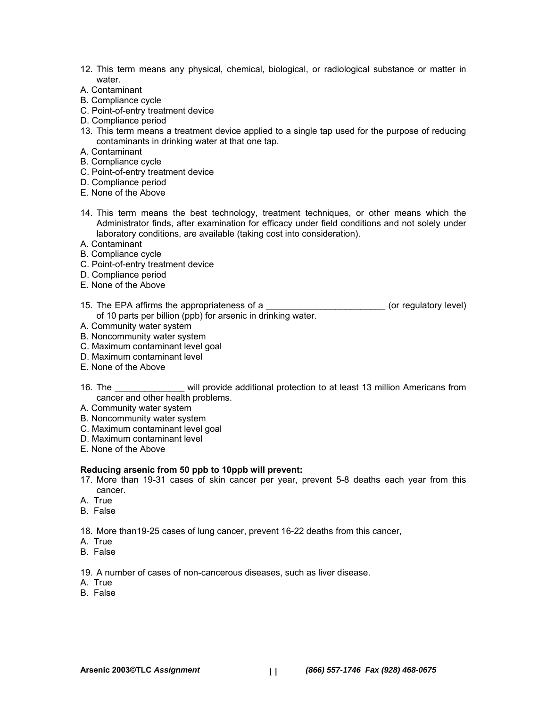- 12. This term means any physical, chemical, biological, or radiological substance or matter in water.
- A. Contaminant
- B. Compliance cycle
- C. Point-of-entry treatment device
- D. Compliance period
- 13. This term means a treatment device applied to a single tap used for the purpose of reducing contaminants in drinking water at that one tap.
- A. Contaminant
- B. Compliance cycle
- C. Point-of-entry treatment device
- D. Compliance period
- E. None of the Above
- 14. This term means the best technology, treatment techniques, or other means which the Administrator finds, after examination for efficacy under field conditions and not solely under laboratory conditions, are available (taking cost into consideration).
- A. Contaminant
- B. Compliance cycle
- C. Point-of-entry treatment device
- D. Compliance period
- E. None of the Above
- 15. The EPA affirms the appropriateness of a  $\blacksquare$  (or regulatory level) of 10 parts per billion (ppb) for arsenic in drinking water.
- A. Community water system
- B. Noncommunity water system
- C. Maximum contaminant level goal
- D. Maximum contaminant level
- E. None of the Above

16. The \_\_\_\_\_\_\_\_\_\_\_\_\_\_ will provide additional protection to at least 13 million Americans from cancer and other health problems.

- A. Community water system
- B. Noncommunity water system
- C. Maximum contaminant level goal
- D. Maximum contaminant level
- E. None of the Above

#### **Reducing arsenic from 50 ppb to 10ppb will prevent:**

- 17. More than 19-31 cases of skin cancer per year, prevent 5-8 deaths each year from this cancer.
- A. True
- B. False
- 18. More than19-25 cases of lung cancer, prevent 16-22 deaths from this cancer,
- A. True
- B. False
- 19. A number of cases of non-cancerous diseases, such as liver disease.
- A. True
- B. False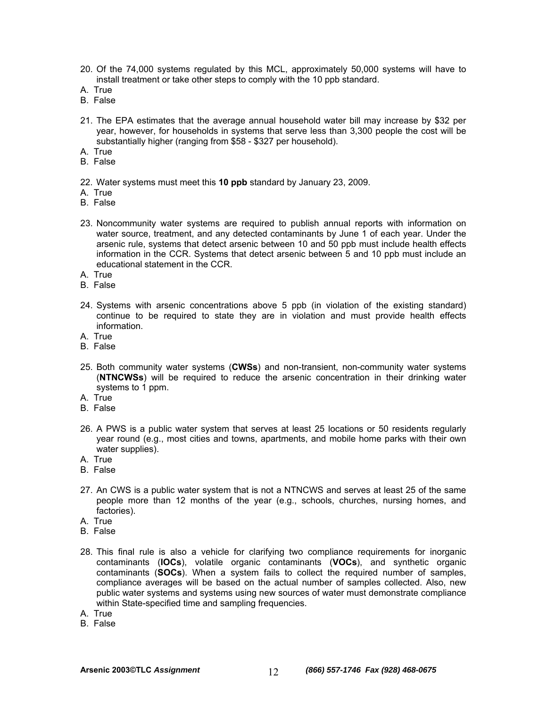- 20. Of the 74,000 systems regulated by this MCL, approximately 50,000 systems will have to install treatment or take other steps to comply with the 10 ppb standard.
- A. True
- B. False
- 21. The EPA estimates that the average annual household water bill may increase by \$32 per year, however, for households in systems that serve less than 3,300 people the cost will be substantially higher (ranging from \$58 - \$327 per household).
- A. True
- B. False
- 22. Water systems must meet this **10 ppb** standard by January 23, 2009.
- A. True
- B. False
- 23. Noncommunity water systems are required to publish annual reports with information on water source, treatment, and any detected contaminants by June 1 of each year. Under the arsenic rule, systems that detect arsenic between 10 and 50 ppb must include health effects information in the CCR. Systems that detect arsenic between 5 and 10 ppb must include an educational statement in the CCR.
- A. True
- B. False
- 24. Systems with arsenic concentrations above 5 ppb (in violation of the existing standard) continue to be required to state they are in violation and must provide health effects information.
- A. True
- B. False
- 25. Both community water systems (**CWSs**) and non-transient, non-community water systems (**NTNCWSs**) will be required to reduce the arsenic concentration in their drinking water systems to 1 ppm.
- A. True
- B. False
- 26. A PWS is a public water system that serves at least 25 locations or 50 residents regularly year round (e.g., most cities and towns, apartments, and mobile home parks with their own water supplies).
- A. True
- B. False
- 27. An CWS is a public water system that is not a NTNCWS and serves at least 25 of the same people more than 12 months of the year (e.g., schools, churches, nursing homes, and factories).
- A. True
- B. False
- 28. This final rule is also a vehicle for clarifying two compliance requirements for inorganic contaminants (**IOCs**), volatile organic contaminants (**VOCs**), and synthetic organic contaminants (**SOCs**). When a system fails to collect the required number of samples, compliance averages will be based on the actual number of samples collected. Also, new public water systems and systems using new sources of water must demonstrate compliance within State-specified time and sampling frequencies.
- A. True
- B. False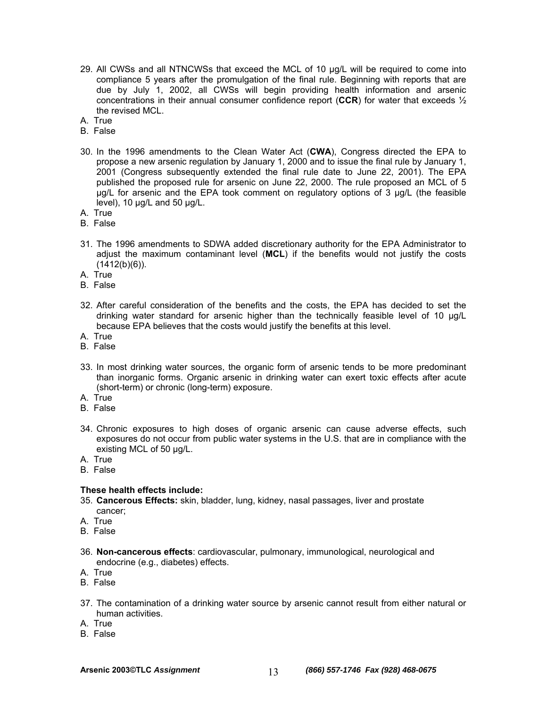- 29. All CWSs and all NTNCWSs that exceed the MCL of 10 µg/L will be required to come into compliance 5 years after the promulgation of the final rule. Beginning with reports that are due by July 1, 2002, all CWSs will begin providing health information and arsenic concentrations in their annual consumer confidence report (**CCR**) for water that exceeds ½ the revised MCL.
- A. True
- B. False
- 30. In the 1996 amendments to the Clean Water Act (**CWA**), Congress directed the EPA to propose a new arsenic regulation by January 1, 2000 and to issue the final rule by January 1, 2001 (Congress subsequently extended the final rule date to June 22, 2001). The EPA published the proposed rule for arsenic on June 22, 2000. The rule proposed an MCL of 5 µg/L for arsenic and the EPA took comment on regulatory options of 3 µg/L (the feasible level), 10 µg/L and 50 µg/L.
- A. True
- B. False
- 31. The 1996 amendments to SDWA added discretionary authority for the EPA Administrator to adjust the maximum contaminant level (**MCL**) if the benefits would not justify the costs  $(1412(b)(6))$ .
- A. True
- B. False
- 32. After careful consideration of the benefits and the costs, the EPA has decided to set the drinking water standard for arsenic higher than the technically feasible level of 10 µg/L because EPA believes that the costs would justify the benefits at this level.
- A. True
- B. False
- 33. In most drinking water sources, the organic form of arsenic tends to be more predominant than inorganic forms. Organic arsenic in drinking water can exert toxic effects after acute (short-term) or chronic (long-term) exposure.
- A. True
- B. False
- 34. Chronic exposures to high doses of organic arsenic can cause adverse effects, such exposures do not occur from public water systems in the U.S. that are in compliance with the existing MCL of 50 µg/L.
- A. True
- B. False

#### **These health effects include:**

- 35. **Cancerous Effects:** skin, bladder, lung, kidney, nasal passages, liver and prostate cancer;
- A. True
- B. False
- 36. **Non-cancerous effects**: cardiovascular, pulmonary, immunological, neurological and endocrine (e.g., diabetes) effects.
- A. True
- B. False
- 37. The contamination of a drinking water source by arsenic cannot result from either natural or human activities.
- A. True
- B. False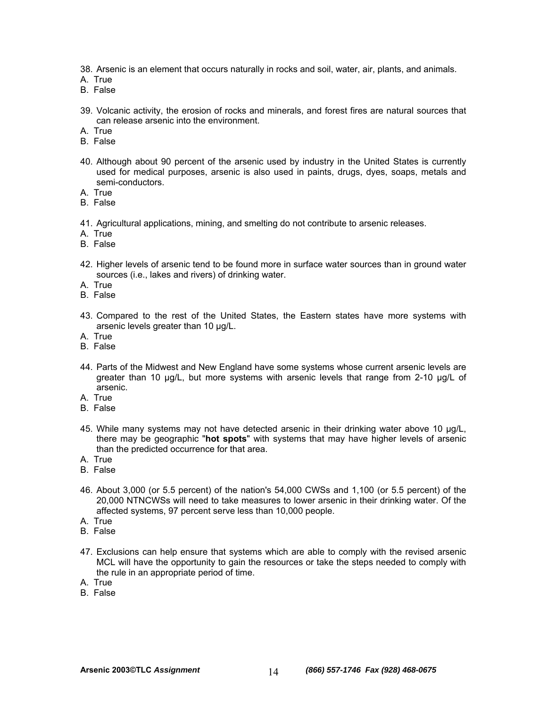- 38. Arsenic is an element that occurs naturally in rocks and soil, water, air, plants, and animals.
- A. True
- B. False
- 39. Volcanic activity, the erosion of rocks and minerals, and forest fires are natural sources that can release arsenic into the environment.
- A. True
- B. False
- 40. Although about 90 percent of the arsenic used by industry in the United States is currently used for medical purposes, arsenic is also used in paints, drugs, dyes, soaps, metals and semi-conductors.
- A. True
- B. False
- 41. Agricultural applications, mining, and smelting do not contribute to arsenic releases.
- A. True
- B. False
- 42. Higher levels of arsenic tend to be found more in surface water sources than in ground water sources (i.e., lakes and rivers) of drinking water.
- A. True
- B. False
- 43. Compared to the rest of the United States, the Eastern states have more systems with arsenic levels greater than 10 µg/L.
- A. True
- B. False
- 44. Parts of the Midwest and New England have some systems whose current arsenic levels are greater than 10 µg/L, but more systems with arsenic levels that range from 2-10 µg/L of arsenic.
- A. True
- B. False
- 45. While many systems may not have detected arsenic in their drinking water above 10 µg/L, there may be geographic "**hot spots**" with systems that may have higher levels of arsenic than the predicted occurrence for that area.
- A. True
- B. False
- 46. About 3,000 (or 5.5 percent) of the nation's 54,000 CWSs and 1,100 (or 5.5 percent) of the 20,000 NTNCWSs will need to take measures to lower arsenic in their drinking water. Of the affected systems, 97 percent serve less than 10,000 people.
- A. True
- B. False
- 47. Exclusions can help ensure that systems which are able to comply with the revised arsenic MCL will have the opportunity to gain the resources or take the steps needed to comply with the rule in an appropriate period of time.
- A. True
- B. False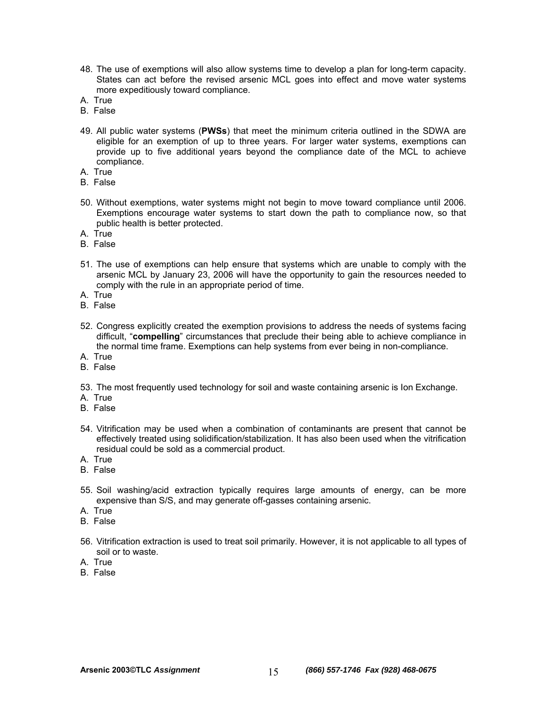- 48. The use of exemptions will also allow systems time to develop a plan for long-term capacity. States can act before the revised arsenic MCL goes into effect and move water systems more expeditiously toward compliance.
- A. True
- B. False
- 49. All public water systems (**PWSs**) that meet the minimum criteria outlined in the SDWA are eligible for an exemption of up to three years. For larger water systems, exemptions can provide up to five additional years beyond the compliance date of the MCL to achieve compliance.
- A. True
- B. False
- 50. Without exemptions, water systems might not begin to move toward compliance until 2006. Exemptions encourage water systems to start down the path to compliance now, so that public health is better protected.
- A. True
- B. False
- 51. The use of exemptions can help ensure that systems which are unable to comply with the arsenic MCL by January 23, 2006 will have the opportunity to gain the resources needed to comply with the rule in an appropriate period of time.
- A. True
- B. False
- 52. Congress explicitly created the exemption provisions to address the needs of systems facing difficult, "**compelling**" circumstances that preclude their being able to achieve compliance in the normal time frame. Exemptions can help systems from ever being in non-compliance.
- A. True
- B. False
- 53. The most frequently used technology for soil and waste containing arsenic is Ion Exchange.
- A. True
- B. False
- 54. Vitrification may be used when a combination of contaminants are present that cannot be effectively treated using solidification/stabilization. It has also been used when the vitrification residual could be sold as a commercial product.
- A. True
- B. False
- 55. Soil washing/acid extraction typically requires large amounts of energy, can be more expensive than S/S, and may generate off-gasses containing arsenic.
- A. True
- B. False
- 56. Vitrification extraction is used to treat soil primarily. However, it is not applicable to all types of soil or to waste.
- A. True
- B. False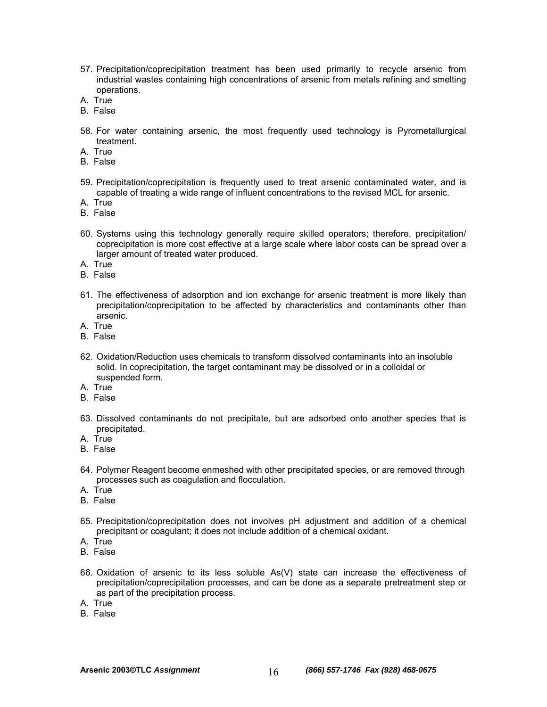- 57. Precipitation/coprecipitation treatment has been used primarily to recycle arsenic from industrial wastes containing high concentrations of arsenic from metals refining and smelting operations.
- A. True
- B. False
- 58. For water containing arsenic, the most frequently used technology is Pyrometallurgical treatment.
- A. True
- B. False
- 59. Precipitation/coprecipitation is frequently used to treat arsenic contaminated water, and is capable of treating a wide range of influent concentrations to the revised MCL for arsenic.
- A. True
- B. False
- 60. Systems using this technology generally require skilled operators; therefore, precipitation/ coprecipitation is more cost effective at a large scale where labor costs can be spread over a larger amount of treated water produced.
- A. True
- B. False
- 61. The effectiveness of adsorption and ion exchange for arsenic treatment is more likely than precipitation/coprecipitation to be affected by characteristics and contaminants other than arsenic.
- A. True
- B. False
- 62. Oxidation/Reduction uses chemicals to transform dissolved contaminants into an insoluble solid. In coprecipitation, the target contaminant may be dissolved or in a colloidal or suspended form.
- A. True
- B. False
- 63. Dissolved contaminants do not precipitate, but are adsorbed onto another species that is precipitated.
- A. True
- B. False
- 64. Polymer Reagent become enmeshed with other precipitated species, or are removed through processes such as coagulation and flocculation.
- A. True
- B. False
- 65. Precipitation/coprecipitation does not involves pH adjustment and addition of a chemical precipitant or coagulant; it does not include addition of a chemical oxidant.
- A. True
- B. False
- 66. Oxidation of arsenic to its less soluble As(V) state can increase the effectiveness of precipitation/coprecipitation processes, and can be done as a separate pretreatment step or as part of the precipitation process.
- A. True
- B. False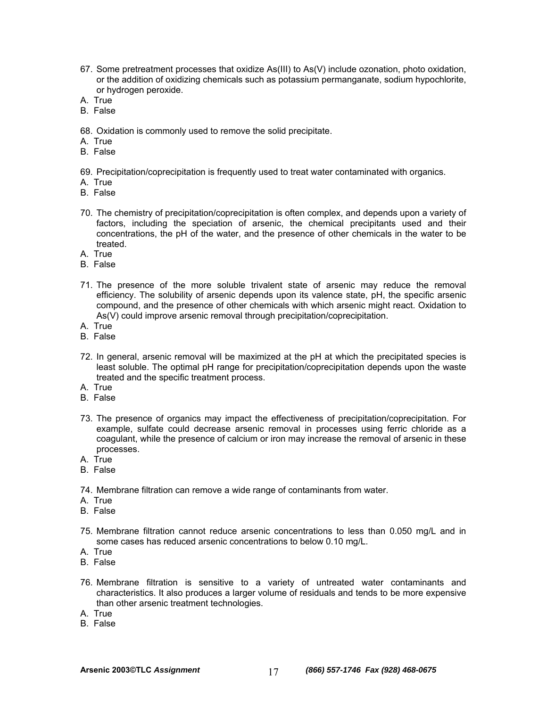- 67. Some pretreatment processes that oxidize As(III) to As(V) include ozonation, photo oxidation, or the addition of oxidizing chemicals such as potassium permanganate, sodium hypochlorite, or hydrogen peroxide.
- A. True
- B. False
- 68. Oxidation is commonly used to remove the solid precipitate.
- A. True
- B. False
- 69. Precipitation/coprecipitation is frequently used to treat water contaminated with organics.
- A. True
- B. False
- 70. The chemistry of precipitation/coprecipitation is often complex, and depends upon a variety of factors, including the speciation of arsenic, the chemical precipitants used and their concentrations, the pH of the water, and the presence of other chemicals in the water to be treated.
- A. True
- B. False
- 71. The presence of the more soluble trivalent state of arsenic may reduce the removal efficiency. The solubility of arsenic depends upon its valence state, pH, the specific arsenic compound, and the presence of other chemicals with which arsenic might react. Oxidation to As(V) could improve arsenic removal through precipitation/coprecipitation.
- A. True
- B. False
- 72. In general, arsenic removal will be maximized at the pH at which the precipitated species is least soluble. The optimal pH range for precipitation/coprecipitation depends upon the waste treated and the specific treatment process.
- A. True
- B. False
- 73. The presence of organics may impact the effectiveness of precipitation/coprecipitation. For example, sulfate could decrease arsenic removal in processes using ferric chloride as a coagulant, while the presence of calcium or iron may increase the removal of arsenic in these processes.
- A. True
- B. False
- 74. Membrane filtration can remove a wide range of contaminants from water.
- A. True
- B. False
- 75. Membrane filtration cannot reduce arsenic concentrations to less than 0.050 mg/L and in some cases has reduced arsenic concentrations to below 0.10 mg/L.
- A. True
- B. False
- 76. Membrane filtration is sensitive to a variety of untreated water contaminants and characteristics. It also produces a larger volume of residuals and tends to be more expensive than other arsenic treatment technologies.
- A. True
- B. False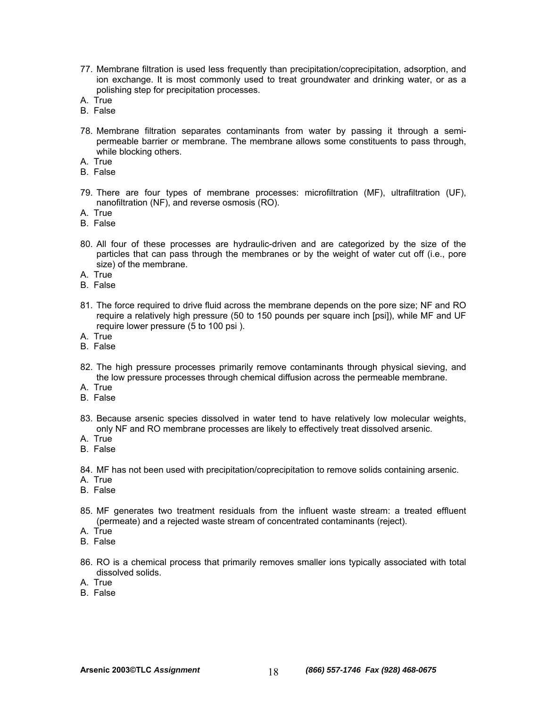- 77. Membrane filtration is used less frequently than precipitation/coprecipitation, adsorption, and ion exchange. It is most commonly used to treat groundwater and drinking water, or as a polishing step for precipitation processes.
- A. True
- B. False
- 78. Membrane filtration separates contaminants from water by passing it through a semipermeable barrier or membrane. The membrane allows some constituents to pass through, while blocking others.
- A. True
- B. False
- 79. There are four types of membrane processes: microfiltration (MF), ultrafiltration (UF), nanofiltration (NF), and reverse osmosis (RO).
- A. True
- B. False
- 80. All four of these processes are hydraulic-driven and are categorized by the size of the particles that can pass through the membranes or by the weight of water cut off (i.e., pore size) of the membrane.
- A. True
- B. False
- 81. The force required to drive fluid across the membrane depends on the pore size; NF and RO require a relatively high pressure (50 to 150 pounds per square inch [psi]), while MF and UF require lower pressure (5 to 100 psi ).
- A. True
- B. False
- 82. The high pressure processes primarily remove contaminants through physical sieving, and the low pressure processes through chemical diffusion across the permeable membrane.
- A. True
- B. False
- 83. Because arsenic species dissolved in water tend to have relatively low molecular weights, only NF and RO membrane processes are likely to effectively treat dissolved arsenic.
- A. True
- B. False
- 84. MF has not been used with precipitation/coprecipitation to remove solids containing arsenic.
- A. True
- B. False
- 85. MF generates two treatment residuals from the influent waste stream: a treated effluent (permeate) and a rejected waste stream of concentrated contaminants (reject).
- A. True
- B. False
- 86. RO is a chemical process that primarily removes smaller ions typically associated with total dissolved solids.
- A. True
- B. False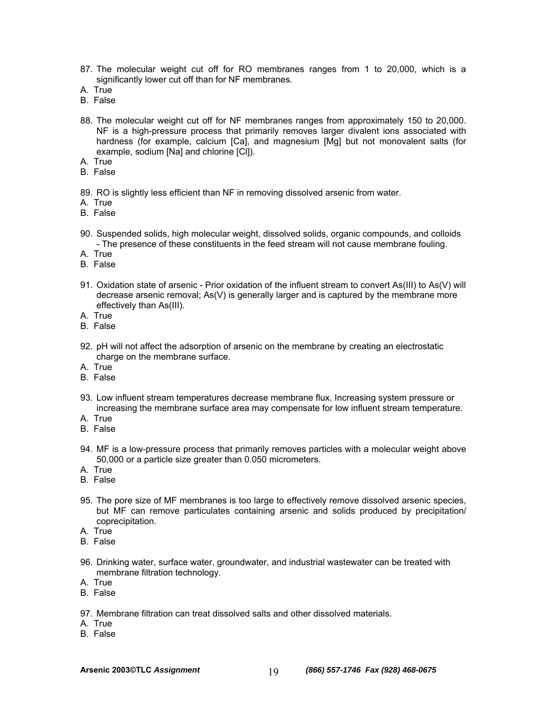- 87. The molecular weight cut off for RO membranes ranges from 1 to 20,000, which is a significantly lower cut off than for NF membranes.
- A. True
- B. False
- 88. The molecular weight cut off for NF membranes ranges from approximately 150 to 20,000. NF is a high-pressure process that primarily removes larger divalent ions associated with hardness (for example, calcium [Ca], and magnesium [Mg] but not monovalent salts (for example, sodium [Na] and chlorine [Cl]).
- A. True
- B. False
- 89. RO is slightly less efficient than NF in removing dissolved arsenic from water.
- A. True
- B. False
- 90. Suspended solids, high molecular weight, dissolved solids, organic compounds, and colloids - The presence of these constituents in the feed stream will not cause membrane fouling.
- A. True
- B. False
- 91. Oxidation state of arsenic Prior oxidation of the influent stream to convert As(III) to As(V) will decrease arsenic removal; As(V) is generally larger and is captured by the membrane more effectively than As(III).
- A. True
- B. False
- 92. pH will not affect the adsorption of arsenic on the membrane by creating an electrostatic charge on the membrane surface.
- A. True
- B. False
- 93. Low influent stream temperatures decrease membrane flux. Increasing system pressure or increasing the membrane surface area may compensate for low influent stream temperature.
- A. True
- B. False
- 94. MF is a low-pressure process that primarily removes particles with a molecular weight above 50,000 or a particle size greater than 0.050 micrometers.
- A. True
- B. False
- 95. The pore size of MF membranes is too large to effectively remove dissolved arsenic species, but MF can remove particulates containing arsenic and solids produced by precipitation/ coprecipitation.
- A. True
- B. False
- 96. Drinking water, surface water, groundwater, and industrial wastewater can be treated with membrane filtration technology.
- A. True
- B. False
- 97. Membrane filtration can treat dissolved salts and other dissolved materials.
- A. True
- B. False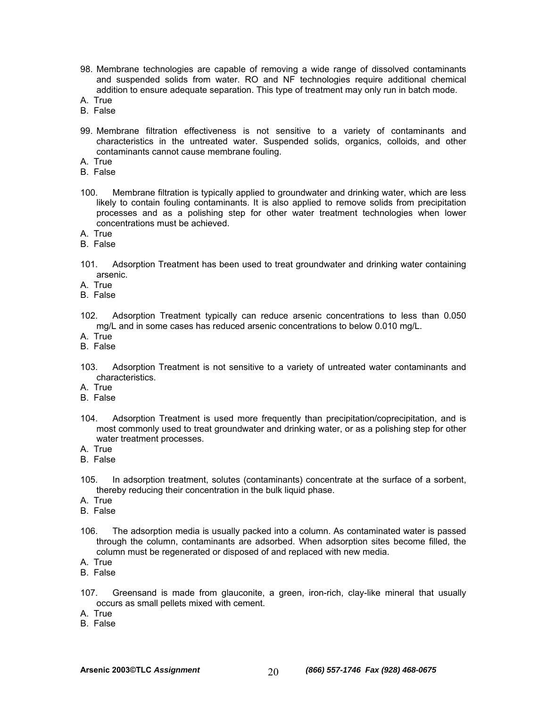- 98. Membrane technologies are capable of removing a wide range of dissolved contaminants and suspended solids from water. RO and NF technologies require additional chemical addition to ensure adequate separation. This type of treatment may only run in batch mode.
- A. True
- B. False
- 99. Membrane filtration effectiveness is not sensitive to a variety of contaminants and characteristics in the untreated water. Suspended solids, organics, colloids, and other contaminants cannot cause membrane fouling.
- A. True
- B. False
- 100. Membrane filtration is typically applied to groundwater and drinking water, which are less likely to contain fouling contaminants. It is also applied to remove solids from precipitation processes and as a polishing step for other water treatment technologies when lower concentrations must be achieved.
- A. True
- B. False
- 101. Adsorption Treatment has been used to treat groundwater and drinking water containing arsenic.
- A. True
- B. False
- 102. Adsorption Treatment typically can reduce arsenic concentrations to less than 0.050 mg/L and in some cases has reduced arsenic concentrations to below 0.010 mg/L.
- A. True
- B. False
- 103. Adsorption Treatment is not sensitive to a variety of untreated water contaminants and characteristics.
- A. True
- B. False
- 104. Adsorption Treatment is used more frequently than precipitation/coprecipitation, and is most commonly used to treat groundwater and drinking water, or as a polishing step for other water treatment processes.
- A. True
- B. False
- 105. In adsorption treatment, solutes (contaminants) concentrate at the surface of a sorbent, thereby reducing their concentration in the bulk liquid phase.
- A. True
- B. False
- 106. The adsorption media is usually packed into a column. As contaminated water is passed through the column, contaminants are adsorbed. When adsorption sites become filled, the column must be regenerated or disposed of and replaced with new media.
- A. True
- B. False
- 107. Greensand is made from glauconite, a green, iron-rich, clay-like mineral that usually occurs as small pellets mixed with cement.
- A. True
- B. False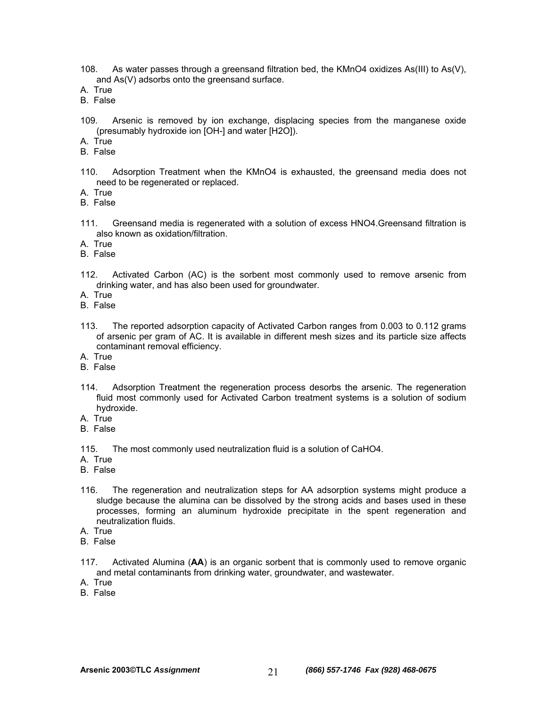- 108. As water passes through a greensand filtration bed, the KMnO4 oxidizes As(III) to As(V), and As(V) adsorbs onto the greensand surface.
- A. True
- B. False
- 109. Arsenic is removed by ion exchange, displacing species from the manganese oxide (presumably hydroxide ion [OH-] and water [H2O]).
- A. True
- B. False
- 110. Adsorption Treatment when the KMnO4 is exhausted, the greensand media does not need to be regenerated or replaced.
- A. True
- B. False
- 111. Greensand media is regenerated with a solution of excess HNO4.Greensand filtration is also known as oxidation/filtration.
- A. True
- B. False
- 112. Activated Carbon (AC) is the sorbent most commonly used to remove arsenic from drinking water, and has also been used for groundwater.
- A. True
- B. False
- 113. The reported adsorption capacity of Activated Carbon ranges from 0.003 to 0.112 grams of arsenic per gram of AC. It is available in different mesh sizes and its particle size affects contaminant removal efficiency.
- A. True
- B. False
- 114. Adsorption Treatment the regeneration process desorbs the arsenic. The regeneration fluid most commonly used for Activated Carbon treatment systems is a solution of sodium hydroxide.
- A. True
- B. False
- 115. The most commonly used neutralization fluid is a solution of CaHO4.
- A. True
- B. False
- 116. The regeneration and neutralization steps for AA adsorption systems might produce a sludge because the alumina can be dissolved by the strong acids and bases used in these processes, forming an aluminum hydroxide precipitate in the spent regeneration and neutralization fluids.
- A. True
- B. False
- 117. Activated Alumina (**AA**) is an organic sorbent that is commonly used to remove organic and metal contaminants from drinking water, groundwater, and wastewater.
- A. True
- B. False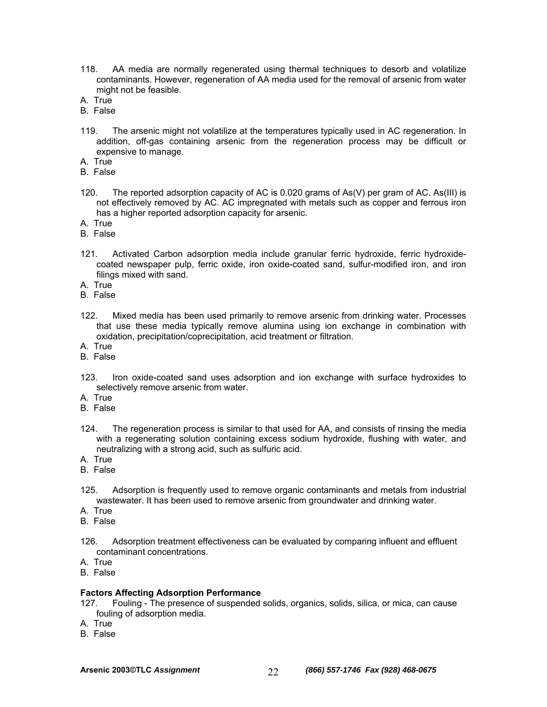- 118. AA media are normally regenerated using thermal techniques to desorb and volatilize contaminants. However, regeneration of AA media used for the removal of arsenic from water might not be feasible.
- A. True
- B. False
- 119. The arsenic might not volatilize at the temperatures typically used in AC regeneration. In addition, off-gas containing arsenic from the regeneration process may be difficult or expensive to manage.
- A. True
- B. False
- 120. The reported adsorption capacity of AC is 0.020 grams of As(V) per gram of AC. As(III) is not effectively removed by AC. AC impregnated with metals such as copper and ferrous iron has a higher reported adsorption capacity for arsenic.
- A. True
- B. False
- 121. Activated Carbon adsorption media include granular ferric hydroxide, ferric hydroxidecoated newspaper pulp, ferric oxide, iron oxide-coated sand, sulfur-modified iron, and iron filings mixed with sand.
- A. True
- B. False
- 122. Mixed media has been used primarily to remove arsenic from drinking water. Processes that use these media typically remove alumina using ion exchange in combination with oxidation, precipitation/coprecipitation, acid treatment or filtration.
- A. True
- B. False
- 123. Iron oxide-coated sand uses adsorption and ion exchange with surface hydroxides to selectively remove arsenic from water.
- A. True
- B. False
- 124. The regeneration process is similar to that used for AA, and consists of rinsing the media with a regenerating solution containing excess sodium hydroxide, flushing with water, and neutralizing with a strong acid, such as sulfuric acid.
- A. True
- B. False
- 125. Adsorption is frequently used to remove organic contaminants and metals from industrial wastewater. It has been used to remove arsenic from groundwater and drinking water.
- A. True
- B. False
- 126. Adsorption treatment effectiveness can be evaluated by comparing influent and effluent contaminant concentrations.
- A. True
- B. False

#### **Factors Affecting Adsorption Performance**

- 127. Fouling The presence of suspended solids, organics, solids, silica, or mica, can cause fouling of adsorption media.
- A. True
- B. False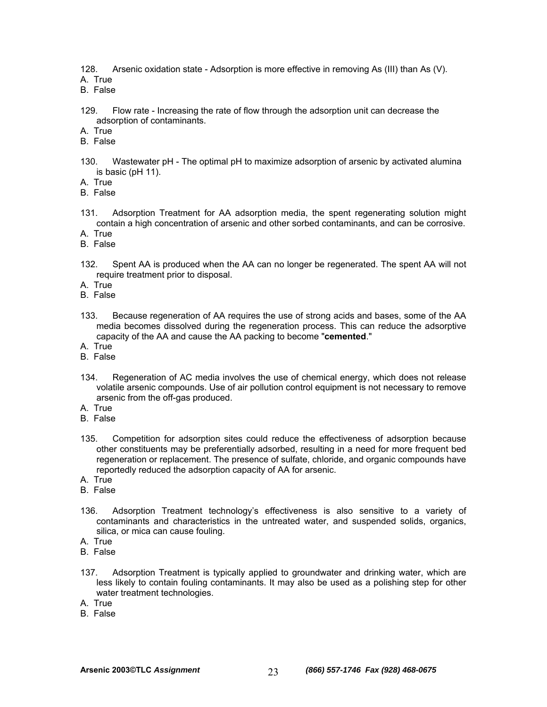128. Arsenic oxidation state - Adsorption is more effective in removing As (III) than As (V).

A. True

B. False

129. Flow rate - Increasing the rate of flow through the adsorption unit can decrease the adsorption of contaminants.

A. True

- B. False
- 130. Wastewater pH The optimal pH to maximize adsorption of arsenic by activated alumina is basic (pH 11).
- A. True
- B. False
- 131. Adsorption Treatment for AA adsorption media, the spent regenerating solution might contain a high concentration of arsenic and other sorbed contaminants, and can be corrosive.
- A. True
- B. False
- 132. Spent AA is produced when the AA can no longer be regenerated. The spent AA will not require treatment prior to disposal.
- A. True
- B. False
- 133. Because regeneration of AA requires the use of strong acids and bases, some of the AA media becomes dissolved during the regeneration process. This can reduce the adsorptive capacity of the AA and cause the AA packing to become "**cemented**."
- A. True
- B. False
- 134. Regeneration of AC media involves the use of chemical energy, which does not release volatile arsenic compounds. Use of air pollution control equipment is not necessary to remove arsenic from the off-gas produced.
- A. True
- B. False
- 135. Competition for adsorption sites could reduce the effectiveness of adsorption because other constituents may be preferentially adsorbed, resulting in a need for more frequent bed regeneration or replacement. The presence of sulfate, chloride, and organic compounds have reportedly reduced the adsorption capacity of AA for arsenic.
- A. True
- B. False
- 136. Adsorption Treatment technology's effectiveness is also sensitive to a variety of contaminants and characteristics in the untreated water, and suspended solids, organics, silica, or mica can cause fouling.
- A. True
- B. False
- 137. Adsorption Treatment is typically applied to groundwater and drinking water, which are less likely to contain fouling contaminants. It may also be used as a polishing step for other water treatment technologies.
- A. True
- B. False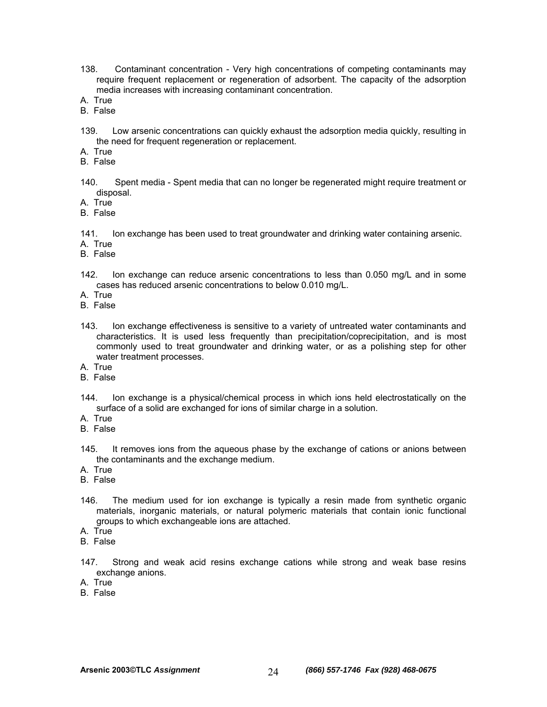- 138. Contaminant concentration Very high concentrations of competing contaminants may require frequent replacement or regeneration of adsorbent. The capacity of the adsorption media increases with increasing contaminant concentration.
- A. True
- B. False
- 139. Low arsenic concentrations can quickly exhaust the adsorption media quickly, resulting in the need for frequent regeneration or replacement.

A. True

- B. False
- 140. Spent media Spent media that can no longer be regenerated might require treatment or disposal.

A. True

B. False

- 141. Ion exchange has been used to treat groundwater and drinking water containing arsenic.
- A. True
- B. False
- 142. Ion exchange can reduce arsenic concentrations to less than 0.050 mg/L and in some cases has reduced arsenic concentrations to below 0.010 mg/L.
- A. True
- B. False
- 143. Ion exchange effectiveness is sensitive to a variety of untreated water contaminants and characteristics. It is used less frequently than precipitation/coprecipitation, and is most commonly used to treat groundwater and drinking water, or as a polishing step for other water treatment processes.
- A. True
- B. False
- 144. Ion exchange is a physical/chemical process in which ions held electrostatically on the surface of a solid are exchanged for ions of similar charge in a solution.
- A. True
- B. False
- 145. It removes ions from the aqueous phase by the exchange of cations or anions between the contaminants and the exchange medium.
- A. True
- B. False
- 146. The medium used for ion exchange is typically a resin made from synthetic organic materials, inorganic materials, or natural polymeric materials that contain ionic functional groups to which exchangeable ions are attached.
- A. True
- B. False
- 147. Strong and weak acid resins exchange cations while strong and weak base resins exchange anions.
- A. True
- B. False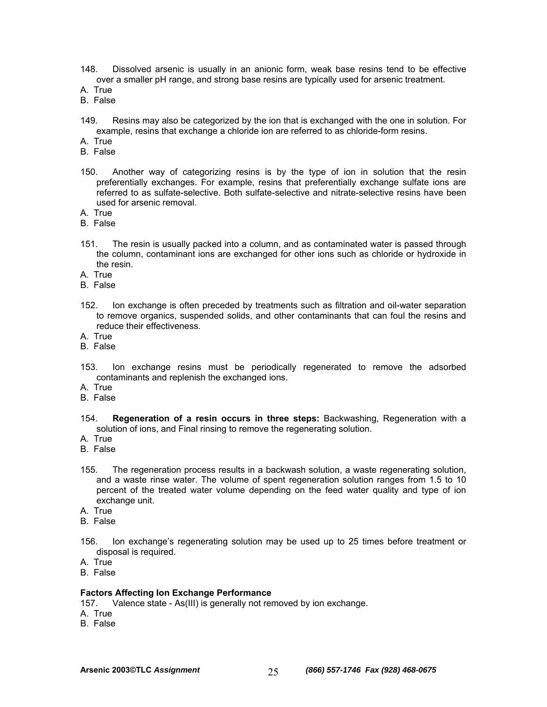- 148. Dissolved arsenic is usually in an anionic form, weak base resins tend to be effective over a smaller pH range, and strong base resins are typically used for arsenic treatment.
- A. True
- B. False
- 149. Resins may also be categorized by the ion that is exchanged with the one in solution. For example, resins that exchange a chloride ion are referred to as chloride-form resins.
- A. True
- B. False
- 150. Another way of categorizing resins is by the type of ion in solution that the resin preferentially exchanges. For example, resins that preferentially exchange sulfate ions are referred to as sulfate-selective. Both sulfate-selective and nitrate-selective resins have been used for arsenic removal.
- A. True
- B. False
- 151. The resin is usually packed into a column, and as contaminated water is passed through the column, contaminant ions are exchanged for other ions such as chloride or hydroxide in the resin.
- A. True
- B. False
- 152. Ion exchange is often preceded by treatments such as filtration and oil-water separation to remove organics, suspended solids, and other contaminants that can foul the resins and reduce their effectiveness.
- A. True
- B. False
- 153. Ion exchange resins must be periodically regenerated to remove the adsorbed contaminants and replenish the exchanged ions.
- A. True
- B. False
- 154. **Regeneration of a resin occurs in three steps:** Backwashing, Regeneration with a solution of ions, and Final rinsing to remove the regenerating solution.
- A. True
- B. False
- 155. The regeneration process results in a backwash solution, a waste regenerating solution, and a waste rinse water. The volume of spent regeneration solution ranges from 1.5 to 10 percent of the treated water volume depending on the feed water quality and type of ion exchange unit.
- A. True
- B. False
- 156. Ion exchange's regenerating solution may be used up to 25 times before treatment or disposal is required.
- A. True
- B. False

### **Factors Affecting Ion Exchange Performance**

157. Valence state - As(III) is generally not removed by ion exchange.

- A. True
- B. False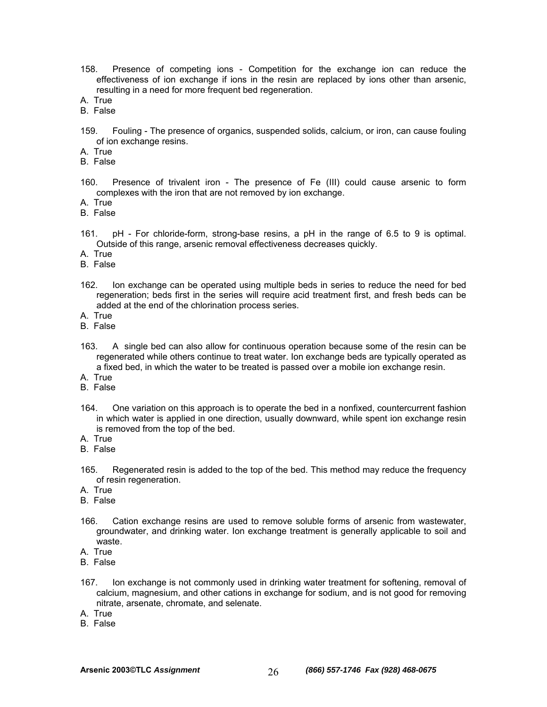- 158. Presence of competing ions Competition for the exchange ion can reduce the effectiveness of ion exchange if ions in the resin are replaced by ions other than arsenic, resulting in a need for more frequent bed regeneration.
- A. True
- B. False
- 159. Fouling The presence of organics, suspended solids, calcium, or iron, can cause fouling of ion exchange resins.
- A. True
- B. False
- 160. Presence of trivalent iron The presence of Fe (III) could cause arsenic to form complexes with the iron that are not removed by ion exchange.
- A. True
- B. False
- 161. pH For chloride-form, strong-base resins, a pH in the range of 6.5 to 9 is optimal. Outside of this range, arsenic removal effectiveness decreases quickly.
- A. True
- B. False
- 162. Ion exchange can be operated using multiple beds in series to reduce the need for bed regeneration; beds first in the series will require acid treatment first, and fresh beds can be added at the end of the chlorination process series.
- A. True
- B. False
- 163. A single bed can also allow for continuous operation because some of the resin can be regenerated while others continue to treat water. Ion exchange beds are typically operated as a fixed bed, in which the water to be treated is passed over a mobile ion exchange resin.
- A. True
- B. False
- 164. One variation on this approach is to operate the bed in a nonfixed, countercurrent fashion in which water is applied in one direction, usually downward, while spent ion exchange resin is removed from the top of the bed.
- A. True
- B. False
- 165. Regenerated resin is added to the top of the bed. This method may reduce the frequency of resin regeneration.
- A. True
- B. False
- 166. Cation exchange resins are used to remove soluble forms of arsenic from wastewater, groundwater, and drinking water. Ion exchange treatment is generally applicable to soil and waste.
- A. True
- B. False
- 167. Ion exchange is not commonly used in drinking water treatment for softening, removal of calcium, magnesium, and other cations in exchange for sodium, and is not good for removing nitrate, arsenate, chromate, and selenate.
- A. True
- B. False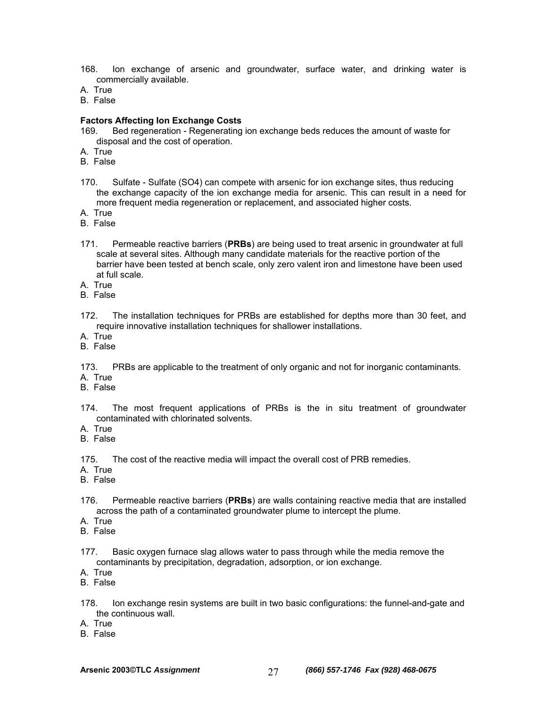- 168. Ion exchange of arsenic and groundwater, surface water, and drinking water is commercially available.
- A. True
- B. False

#### **Factors Affecting Ion Exchange Costs**

- 169. Bed regeneration Regenerating ion exchange beds reduces the amount of waste for disposal and the cost of operation.
- A. True
- B. False
- 170. Sulfate Sulfate (SO4) can compete with arsenic for ion exchange sites, thus reducing the exchange capacity of the ion exchange media for arsenic. This can result in a need for more frequent media regeneration or replacement, and associated higher costs.
- A. True
- B. False
- 171. Permeable reactive barriers (**PRBs**) are being used to treat arsenic in groundwater at full scale at several sites. Although many candidate materials for the reactive portion of the barrier have been tested at bench scale, only zero valent iron and limestone have been used at full scale.
- A. True
- B. False
- 172. The installation techniques for PRBs are established for depths more than 30 feet, and require innovative installation techniques for shallower installations.
- A. True
- B. False

173. PRBs are applicable to the treatment of only organic and not for inorganic contaminants. A. True

- B. False
- 174. The most frequent applications of PRBs is the in situ treatment of groundwater contaminated with chlorinated solvents.
- A. True
- B. False

175. The cost of the reactive media will impact the overall cost of PRB remedies.

- A. True
- B. False
- 176. Permeable reactive barriers (**PRBs**) are walls containing reactive media that are installed across the path of a contaminated groundwater plume to intercept the plume.
- A. True
- B. False
- 177. Basic oxygen furnace slag allows water to pass through while the media remove the contaminants by precipitation, degradation, adsorption, or ion exchange.
- A. True
- B. False
- 178. Ion exchange resin systems are built in two basic configurations: the funnel-and-gate and the continuous wall.
- A. True
- B. False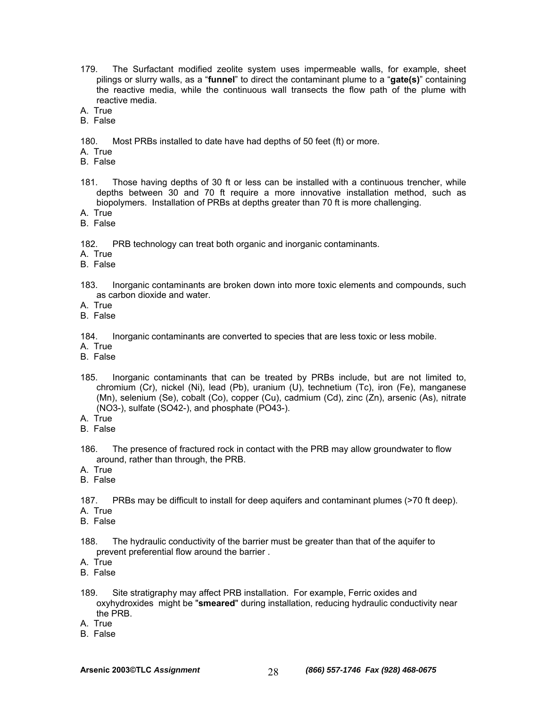- 179. The Surfactant modified zeolite system uses impermeable walls, for example, sheet pilings or slurry walls, as a "**funnel**" to direct the contaminant plume to a "**gate(s)**" containing the reactive media, while the continuous wall transects the flow path of the plume with reactive media.
- A. True
- B. False
- 180. Most PRBs installed to date have had depths of 50 feet (ft) or more.
- A. True
- B. False
- 181. Those having depths of 30 ft or less can be installed with a continuous trencher, while depths between 30 and 70 ft require a more innovative installation method, such as biopolymers. Installation of PRBs at depths greater than 70 ft is more challenging.
- A. True
- B. False

182. PRB technology can treat both organic and inorganic contaminants.

- A. True
- B. False
- 183. Inorganic contaminants are broken down into more toxic elements and compounds, such as carbon dioxide and water.
- A. True
- B. False

184. Inorganic contaminants are converted to species that are less toxic or less mobile.

- A. True
- B. False
- 185. Inorganic contaminants that can be treated by PRBs include, but are not limited to, chromium (Cr), nickel (Ni), lead (Pb), uranium (U), technetium (Tc), iron (Fe), manganese (Mn), selenium (Se), cobalt (Co), copper (Cu), cadmium (Cd), zinc (Zn), arsenic (As), nitrate (NO3-), sulfate (SO42-), and phosphate (PO43-).
- A. True
- B. False
- 186. The presence of fractured rock in contact with the PRB may allow groundwater to flow around, rather than through, the PRB.
- A. True
- B. False

187. PRBs may be difficult to install for deep aquifers and contaminant plumes (>70 ft deep). A. True

- B. False
- 188. The hydraulic conductivity of the barrier must be greater than that of the aquifer to prevent preferential flow around the barrier .
- A. True
- B. False
- 189. Site stratigraphy may affect PRB installation. For example, Ferric oxides and oxyhydroxides might be "**smeared**" during installation, reducing hydraulic conductivity near the PRB.
- A. True
- B. False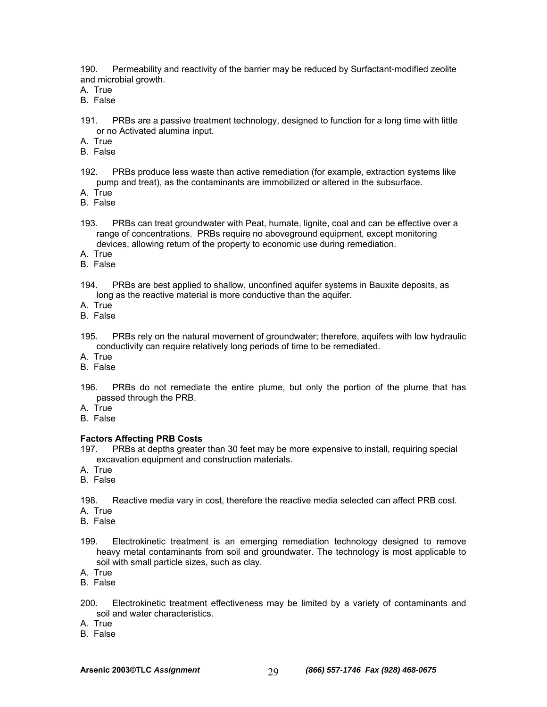190. Permeability and reactivity of the barrier may be reduced by Surfactant-modified zeolite and microbial growth.

A. True

B. False

191. PRBs are a passive treatment technology, designed to function for a long time with little or no Activated alumina input.

A. True

- B. False
- 192. PRBs produce less waste than active remediation (for example, extraction systems like pump and treat), as the contaminants are immobilized or altered in the subsurface.
- A. True
- B. False
- 193. PRBs can treat groundwater with Peat, humate, lignite, coal and can be effective over a range of concentrations. PRBs require no aboveground equipment, except monitoring devices, allowing return of the property to economic use during remediation.
- A. True
- B. False
- 194. PRBs are best applied to shallow, unconfined aquifer systems in Bauxite deposits, as long as the reactive material is more conductive than the aquifer.
- A. True
- B. False
- 195. PRBs rely on the natural movement of groundwater; therefore, aquifers with low hydraulic conductivity can require relatively long periods of time to be remediated.
- A. True
- B. False
- 196. PRBs do not remediate the entire plume, but only the portion of the plume that has passed through the PRB.
- A. True
- B. False

### **Factors Affecting PRB Costs**

- 197. PRBs at depths greater than 30 feet may be more expensive to install, requiring special excavation equipment and construction materials.
- A. True
- B. False

198. Reactive media vary in cost, therefore the reactive media selected can affect PRB cost.

A. True

- B. False
- 199. Electrokinetic treatment is an emerging remediation technology designed to remove heavy metal contaminants from soil and groundwater. The technology is most applicable to soil with small particle sizes, such as clay.
- A. True
- B. False
- 200. Electrokinetic treatment effectiveness may be limited by a variety of contaminants and soil and water characteristics.
- A. True
- B. False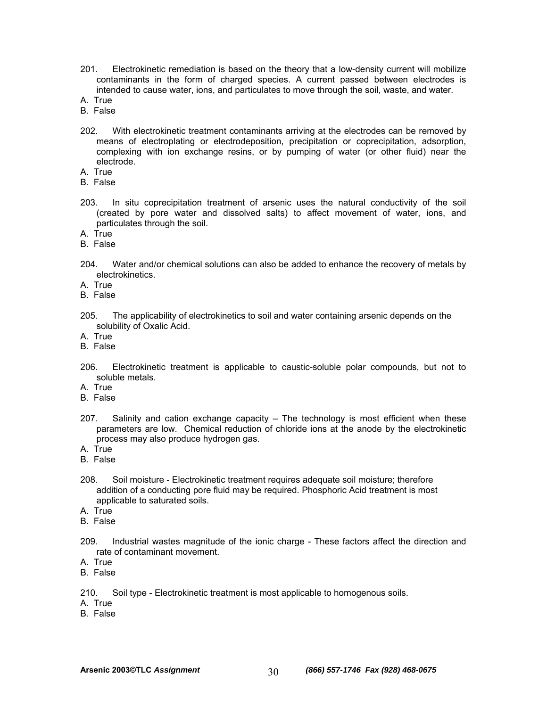- 201. Electrokinetic remediation is based on the theory that a low-density current will mobilize contaminants in the form of charged species. A current passed between electrodes is intended to cause water, ions, and particulates to move through the soil, waste, and water.
- A. True
- B. False
- 202. With electrokinetic treatment contaminants arriving at the electrodes can be removed by means of electroplating or electrodeposition, precipitation or coprecipitation, adsorption, complexing with ion exchange resins, or by pumping of water (or other fluid) near the electrode.
- A. True
- B. False
- 203. In situ coprecipitation treatment of arsenic uses the natural conductivity of the soil (created by pore water and dissolved salts) to affect movement of water, ions, and particulates through the soil.
- A. True
- B. False
- 204. Water and/or chemical solutions can also be added to enhance the recovery of metals by electrokinetics.
- A. True
- B. False
- 205. The applicability of electrokinetics to soil and water containing arsenic depends on the solubility of Oxalic Acid.
- A. True
- B. False
- 206. Electrokinetic treatment is applicable to caustic-soluble polar compounds, but not to soluble metals.
- A. True
- B. False
- 207. Salinity and cation exchange capacity The technology is most efficient when these parameters are low. Chemical reduction of chloride ions at the anode by the electrokinetic process may also produce hydrogen gas.
- A. True
- B. False
- 208. Soil moisture Electrokinetic treatment requires adequate soil moisture; therefore addition of a conducting pore fluid may be required. Phosphoric Acid treatment is most applicable to saturated soils.
- A. True
- B. False
- 209. Industrial wastes magnitude of the ionic charge These factors affect the direction and rate of contaminant movement.
- A. True
- B. False

210. Soil type - Electrokinetic treatment is most applicable to homogenous soils.

- A. True
- B. False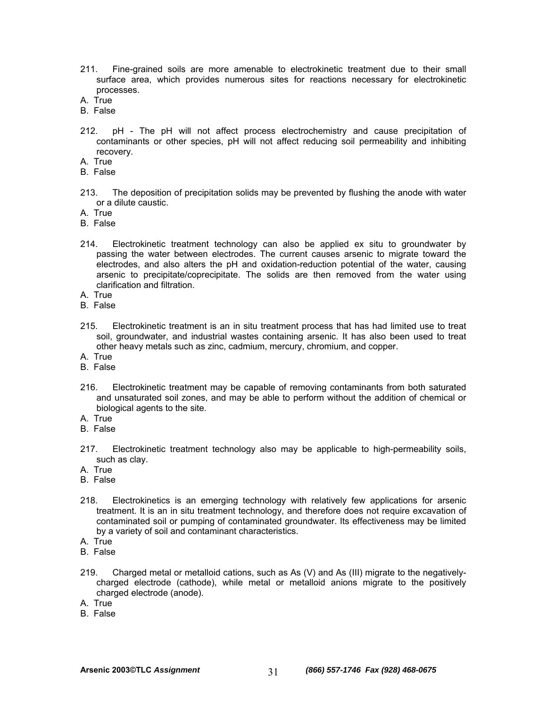- 211. Fine-grained soils are more amenable to electrokinetic treatment due to their small surface area, which provides numerous sites for reactions necessary for electrokinetic processes.
- A. True
- B. False
- 212. pH The pH will not affect process electrochemistry and cause precipitation of contaminants or other species, pH will not affect reducing soil permeability and inhibiting recovery.
- A. True
- B. False
- 213. The deposition of precipitation solids may be prevented by flushing the anode with water or a dilute caustic.
- A. True
- B. False
- 214. Electrokinetic treatment technology can also be applied ex situ to groundwater by passing the water between electrodes. The current causes arsenic to migrate toward the electrodes, and also alters the pH and oxidation-reduction potential of the water, causing arsenic to precipitate/coprecipitate. The solids are then removed from the water using clarification and filtration.
- A. True
- B. False
- 215. Electrokinetic treatment is an in situ treatment process that has had limited use to treat soil, groundwater, and industrial wastes containing arsenic. It has also been used to treat other heavy metals such as zinc, cadmium, mercury, chromium, and copper.
- A. True
- B. False
- 216. Electrokinetic treatment may be capable of removing contaminants from both saturated and unsaturated soil zones, and may be able to perform without the addition of chemical or biological agents to the site.
- A. True
- B. False
- 217. Electrokinetic treatment technology also may be applicable to high-permeability soils, such as clay.
- A. True
- B. False
- 218. Electrokinetics is an emerging technology with relatively few applications for arsenic treatment. It is an in situ treatment technology, and therefore does not require excavation of contaminated soil or pumping of contaminated groundwater. Its effectiveness may be limited by a variety of soil and contaminant characteristics.
- A. True
- B. False
- 219. Charged metal or metalloid cations, such as As (V) and As (III) migrate to the negativelycharged electrode (cathode), while metal or metalloid anions migrate to the positively charged electrode (anode).
- A. True
- B. False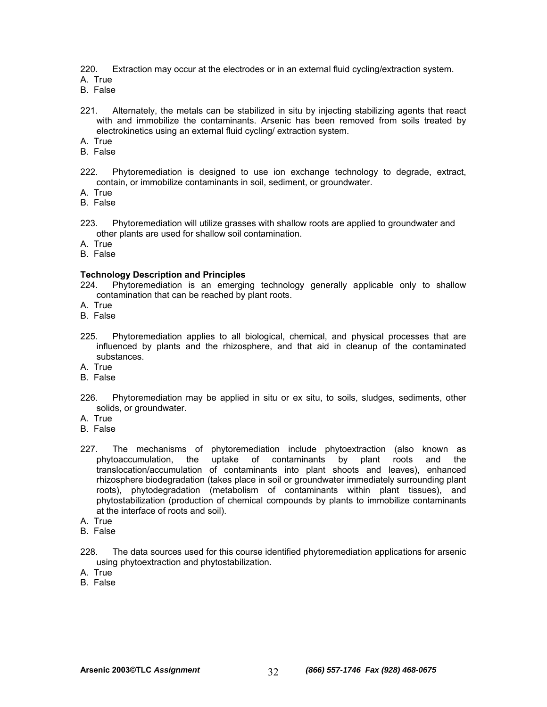220. Extraction may occur at the electrodes or in an external fluid cycling/extraction system.

A. True

- B. False
- 221. Alternately, the metals can be stabilized in situ by injecting stabilizing agents that react with and immobilize the contaminants. Arsenic has been removed from soils treated by electrokinetics using an external fluid cycling/ extraction system.
- A. True
- B. False
- 222. Phytoremediation is designed to use ion exchange technology to degrade, extract, contain, or immobilize contaminants in soil, sediment, or groundwater.
- A. True
- B. False
- 223. Phytoremediation will utilize grasses with shallow roots are applied to groundwater and other plants are used for shallow soil contamination.

A. True

B. False

#### **Technology Description and Principles**

- 224. Phytoremediation is an emerging technology generally applicable only to shallow contamination that can be reached by plant roots.
- A. True
- B. False
- 225. Phytoremediation applies to all biological, chemical, and physical processes that are influenced by plants and the rhizosphere, and that aid in cleanup of the contaminated substances.
- A. True
- B. False
- 226. Phytoremediation may be applied in situ or ex situ, to soils, sludges, sediments, other solids, or groundwater.
- A. True
- B. False
- 227. The mechanisms of phytoremediation include phytoextraction (also known as phytoaccumulation, the uptake of contaminants by plant roots and the translocation/accumulation of contaminants into plant shoots and leaves), enhanced rhizosphere biodegradation (takes place in soil or groundwater immediately surrounding plant roots), phytodegradation (metabolism of contaminants within plant tissues), and phytostabilization (production of chemical compounds by plants to immobilize contaminants at the interface of roots and soil).
- A. True
- B. False
- 228. The data sources used for this course identified phytoremediation applications for arsenic using phytoextraction and phytostabilization.
- A. True
- B. False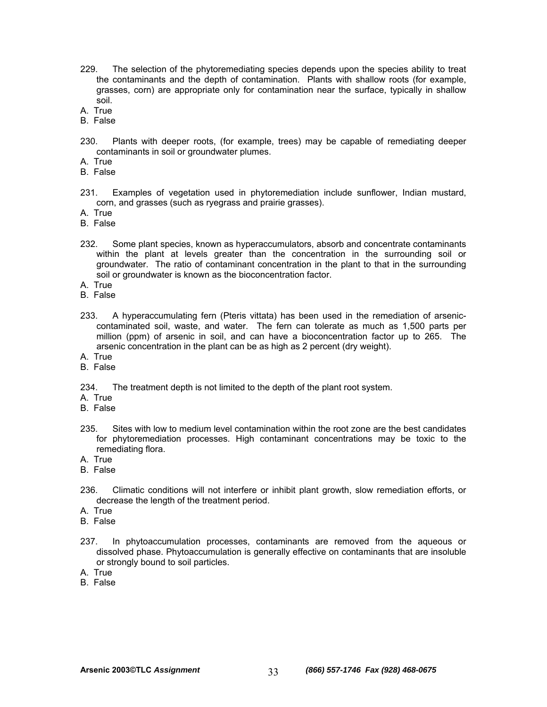- 229. The selection of the phytoremediating species depends upon the species ability to treat the contaminants and the depth of contamination. Plants with shallow roots (for example, grasses, corn) are appropriate only for contamination near the surface, typically in shallow soil.
- A. True
- B. False
- 230. Plants with deeper roots, (for example, trees) may be capable of remediating deeper contaminants in soil or groundwater plumes.
- A. True
- B. False
- 231. Examples of vegetation used in phytoremediation include sunflower, Indian mustard, corn, and grasses (such as ryegrass and prairie grasses).
- A. True
- B. False
- 232. Some plant species, known as hyperaccumulators, absorb and concentrate contaminants within the plant at levels greater than the concentration in the surrounding soil or groundwater. The ratio of contaminant concentration in the plant to that in the surrounding soil or groundwater is known as the bioconcentration factor.
- A. True
- B. False
- 233. A hyperaccumulating fern (Pteris vittata) has been used in the remediation of arseniccontaminated soil, waste, and water. The fern can tolerate as much as 1,500 parts per million (ppm) of arsenic in soil, and can have a bioconcentration factor up to 265. The arsenic concentration in the plant can be as high as 2 percent (dry weight).
- A. True
- B. False

234. The treatment depth is not limited to the depth of the plant root system.

- A. True
- B. False
- 235. Sites with low to medium level contamination within the root zone are the best candidates for phytoremediation processes. High contaminant concentrations may be toxic to the remediating flora.
- A. True
- B. False
- 236. Climatic conditions will not interfere or inhibit plant growth, slow remediation efforts, or decrease the length of the treatment period.
- A. True
- B. False
- 237. In phytoaccumulation processes, contaminants are removed from the aqueous or dissolved phase. Phytoaccumulation is generally effective on contaminants that are insoluble or strongly bound to soil particles.
- A. True
- B. False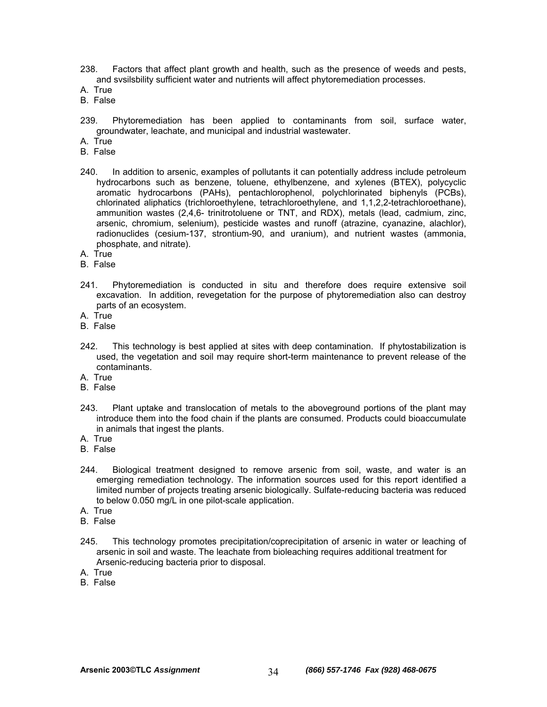238. Factors that affect plant growth and health, such as the presence of weeds and pests, and svsilsbility sufficient water and nutrients will affect phytoremediation processes.

A. True

- B. False
- 239. Phytoremediation has been applied to contaminants from soil, surface water, groundwater, leachate, and municipal and industrial wastewater.
- A. True
- B. False
- 240. In addition to arsenic, examples of pollutants it can potentially address include petroleum hydrocarbons such as benzene, toluene, ethylbenzene, and xylenes (BTEX), polycyclic aromatic hydrocarbons (PAHs), pentachlorophenol, polychlorinated biphenyls (PCBs), chlorinated aliphatics (trichloroethylene, tetrachloroethylene, and 1,1,2,2-tetrachloroethane), ammunition wastes (2,4,6- trinitrotoluene or TNT, and RDX), metals (lead, cadmium, zinc, arsenic, chromium, selenium), pesticide wastes and runoff (atrazine, cyanazine, alachlor), radionuclides (cesium-137, strontium-90, and uranium), and nutrient wastes (ammonia, phosphate, and nitrate).
- A. True
- B. False
- 241. Phytoremediation is conducted in situ and therefore does require extensive soil excavation. In addition, revegetation for the purpose of phytoremediation also can destroy parts of an ecosystem.
- A. True
- B. False
- 242. This technology is best applied at sites with deep contamination. If phytostabilization is used, the vegetation and soil may require short-term maintenance to prevent release of the contaminants.
- A. True
- B. False
- 243. Plant uptake and translocation of metals to the aboveground portions of the plant may introduce them into the food chain if the plants are consumed. Products could bioaccumulate in animals that ingest the plants.
- A. True
- B. False
- 244. Biological treatment designed to remove arsenic from soil, waste, and water is an emerging remediation technology. The information sources used for this report identified a limited number of projects treating arsenic biologically. Sulfate-reducing bacteria was reduced to below 0.050 mg/L in one pilot-scale application.
- A. True
- B. False
- 245. This technology promotes precipitation/coprecipitation of arsenic in water or leaching of arsenic in soil and waste. The leachate from bioleaching requires additional treatment for Arsenic-reducing bacteria prior to disposal.
- A. True
- B. False